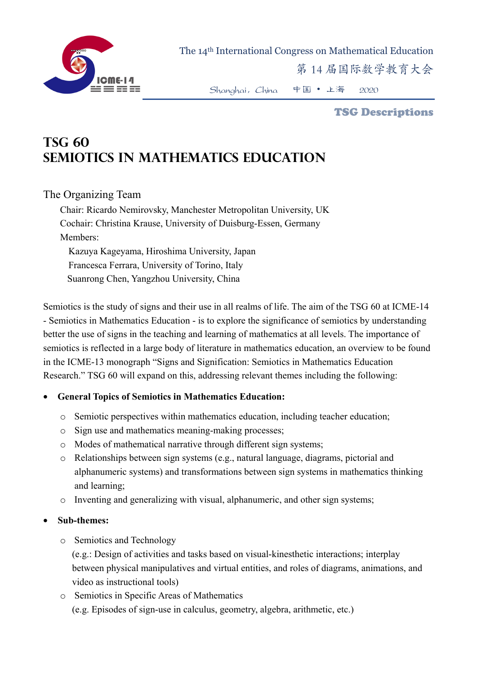

The 14th International Congress on Mathematical Education

第 14 届国际数学教育大会

Shanghai,China 中国 • 上海 2020

#### TSG Descriptions

# **TSG 60 Semiotics in Mathematics Education**

## The Organizing Team

Chair: Ricardo Nemirovsky, Manchester Metropolitan University, UK Cochair: Christina Krause, University of Duisburg-Essen, Germany Members: Kazuya Kageyama, Hiroshima University, Japan Francesca Ferrara, University of Torino, Italy Suanrong Chen, Yangzhou University, China

Semiotics is the study of signs and their use in all realms of life. The aim of the TSG 60 at ICME-14 - Semiotics in Mathematics Education - is to explore the significance of semiotics by understanding better the use of signs in the teaching and learning of mathematics at all levels. The importance of semiotics is reflected in a large body of literature in mathematics education, an overview to be found in the ICME-13 monograph "Signs and Signification: Semiotics in Mathematics Education Research." TSG 60 will expand on this, addressing relevant themes including the following:

## • **General Topics of Semiotics in Mathematics Education:**

- o Semiotic perspectives within mathematics education, including teacher education;
- o Sign use and mathematics meaning-making processes;
- o Modes of mathematical narrative through different sign systems;
- o Relationships between sign systems (e.g., natural language, diagrams, pictorial and alphanumeric systems) and transformations between sign systems in mathematics thinking and learning;
- $\circ$  Inventing and generalizing with visual, alphanumeric, and other sign systems;

## • **Sub-themes:**

o Semiotics and Technology

(e.g.: Design of activities and tasks based on visual-kinesthetic interactions; interplay between physical manipulatives and virtual entities, and roles of diagrams, animations, and video as instructional tools)

o Semiotics in Specific Areas of Mathematics (e.g. Episodes of sign-use in calculus, geometry, algebra, arithmetic, etc.)